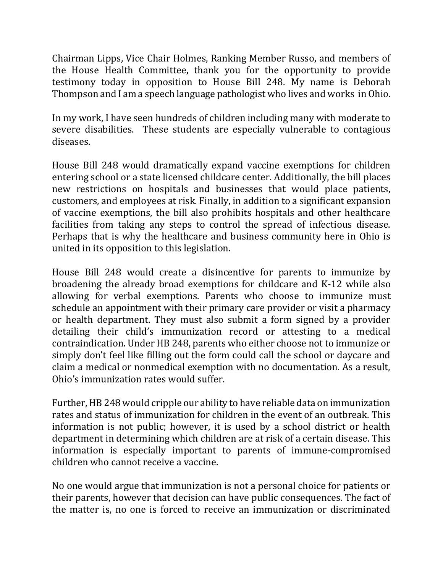Chairman Lipps, Vice Chair Holmes, Ranking Member Russo, and members of the House Health Committee, thank you for the opportunity to provide testimony today in opposition to House Bill 248. My name is Deborah Thompson and I am a speech language pathologist who lives and works in Ohio.

In my work, I have seen hundreds of children including many with moderate to severe disabilities. These students are especially vulnerable to contagious diseases.

House Bill 248 would dramatically expand vaccine exemptions for children entering school or a state licensed childcare center. Additionally, the bill places new restrictions on hospitals and businesses that would place patients, customers, and employees at risk. Finally, in addition to a significant expansion of vaccine exemptions, the bill also prohibits hospitals and other healthcare facilities from taking any steps to control the spread of infectious disease. Perhaps that is why the healthcare and business community here in Ohio is united in its opposition to this legislation.

House Bill 248 would create a disincentive for parents to immunize by broadening the already broad exemptions for childcare and K-12 while also allowing for verbal exemptions. Parents who choose to immunize must schedule an appointment with their primary care provider or visit a pharmacy or health department. They must also submit a form signed by a provider detailing their child's immunization record or attesting to a medical contraindication. Under HB 248, parents who either choose not to immunize or simply don't feel like filling out the form could call the school or daycare and claim a medical or nonmedical exemption with no documentation. As a result, Ohio's immunization rates would suffer.

Further, HB 248 would cripple our ability to have reliable data on immunization rates and status of immunization for children in the event of an outbreak. This information is not public; however, it is used by a school district or health department in determining which children are at risk of a certain disease. This information is especially important to parents of immune-compromised children who cannot receive a vaccine.

No one would argue that immunization is not a personal choice for patients or their parents, however that decision can have public consequences. The fact of the matter is, no one is forced to receive an immunization or discriminated